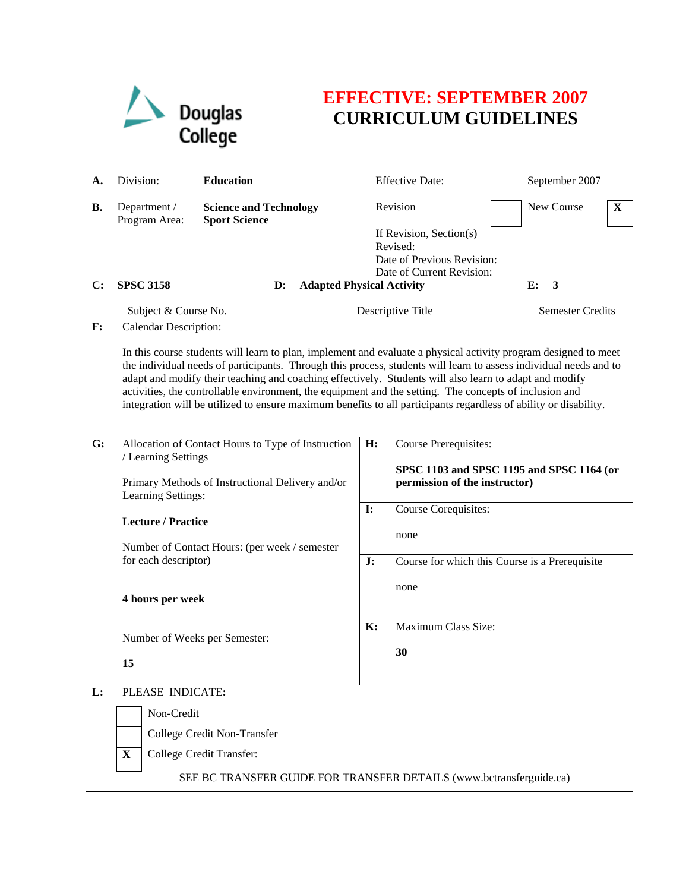

## **EFFECTIVE: SEPTEMBER 2007 CURRICULUM GUIDELINES**

| А.             | Division:                                                                                                                                                                                                                                                                                                                                                                                                                                                                                                                                                                                                    | <b>Education</b>                                      |                | <b>Effective Date:</b>                                                                                     | September 2007                                 |
|----------------|--------------------------------------------------------------------------------------------------------------------------------------------------------------------------------------------------------------------------------------------------------------------------------------------------------------------------------------------------------------------------------------------------------------------------------------------------------------------------------------------------------------------------------------------------------------------------------------------------------------|-------------------------------------------------------|----------------|------------------------------------------------------------------------------------------------------------|------------------------------------------------|
| <b>B.</b>      | Department /<br>Program Area:                                                                                                                                                                                                                                                                                                                                                                                                                                                                                                                                                                                | <b>Science and Technology</b><br><b>Sport Science</b> |                | Revision                                                                                                   | <b>New Course</b><br>X                         |
| $\mathbf{C}$ : | <b>SPSC 3158</b>                                                                                                                                                                                                                                                                                                                                                                                                                                                                                                                                                                                             | <b>Adapted Physical Activity</b><br>$\mathbf{D}$ :    |                | If Revision, Section(s)<br>Revised:<br>Date of Previous Revision:<br>Date of Current Revision:             | E:<br>3                                        |
|                | Subject & Course No.                                                                                                                                                                                                                                                                                                                                                                                                                                                                                                                                                                                         |                                                       |                | Descriptive Title                                                                                          | <b>Semester Credits</b>                        |
| F:             | <b>Calendar Description:</b><br>In this course students will learn to plan, implement and evaluate a physical activity program designed to meet<br>the individual needs of participants. Through this process, students will learn to assess individual needs and to<br>adapt and modify their teaching and coaching effectively. Students will also learn to adapt and modify<br>activities, the controllable environment, the equipment and the setting. The concepts of inclusion and<br>integration will be utilized to ensure maximum benefits to all participants regardless of ability or disability. |                                                       |                |                                                                                                            |                                                |
| G:             | Allocation of Contact Hours to Type of Instruction<br>/ Learning Settings<br>Primary Methods of Instructional Delivery and/or<br>Learning Settings:<br><b>Lecture / Practice</b><br>Number of Contact Hours: (per week / semester<br>for each descriptor)<br>4 hours per week                                                                                                                                                                                                                                                                                                                                |                                                       | H:             | <b>Course Prerequisites:</b><br>SPSC 1103 and SPSC 1195 and SPSC 1164 (or<br>permission of the instructor) |                                                |
|                |                                                                                                                                                                                                                                                                                                                                                                                                                                                                                                                                                                                                              |                                                       | $\mathbf{I}$ : | Course Corequisites:<br>none                                                                               |                                                |
|                |                                                                                                                                                                                                                                                                                                                                                                                                                                                                                                                                                                                                              |                                                       | J:             | none                                                                                                       | Course for which this Course is a Prerequisite |
|                | 15                                                                                                                                                                                                                                                                                                                                                                                                                                                                                                                                                                                                           | Number of Weeks per Semester:                         |                | Maximum Class Size:<br>30                                                                                  |                                                |
| L:             | PLEASE INDICATE:                                                                                                                                                                                                                                                                                                                                                                                                                                                                                                                                                                                             |                                                       |                |                                                                                                            |                                                |
|                | Non-Credit                                                                                                                                                                                                                                                                                                                                                                                                                                                                                                                                                                                                   |                                                       |                |                                                                                                            |                                                |
|                |                                                                                                                                                                                                                                                                                                                                                                                                                                                                                                                                                                                                              | College Credit Non-Transfer                           |                |                                                                                                            |                                                |
|                | $\mathbf{X}$                                                                                                                                                                                                                                                                                                                                                                                                                                                                                                                                                                                                 | <b>College Credit Transfer:</b>                       |                |                                                                                                            |                                                |
|                | SEE BC TRANSFER GUIDE FOR TRANSFER DETAILS (www.bctransferguide.ca)                                                                                                                                                                                                                                                                                                                                                                                                                                                                                                                                          |                                                       |                |                                                                                                            |                                                |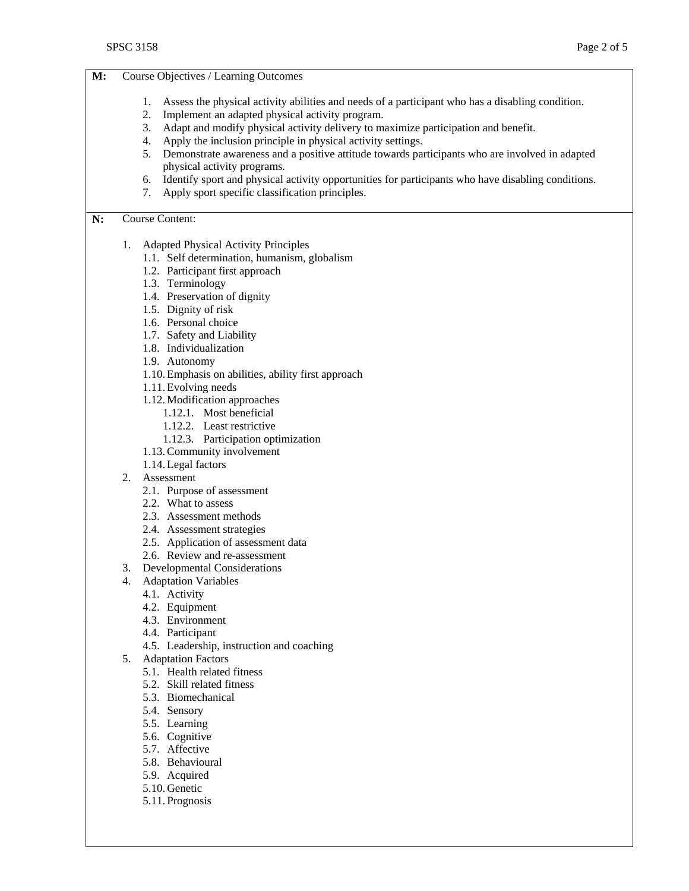| M: | Course Objectives / Learning Outcomes                                                                                                                                   |                                                                                                       |  |  |
|----|-------------------------------------------------------------------------------------------------------------------------------------------------------------------------|-------------------------------------------------------------------------------------------------------|--|--|
|    |                                                                                                                                                                         |                                                                                                       |  |  |
|    | 1.                                                                                                                                                                      | Assess the physical activity abilities and needs of a participant who has a disabling condition.      |  |  |
|    | Implement an adapted physical activity program.<br>2.                                                                                                                   |                                                                                                       |  |  |
|    | Adapt and modify physical activity delivery to maximize participation and benefit.<br>3.                                                                                |                                                                                                       |  |  |
|    | Apply the inclusion principle in physical activity settings.<br>4.<br>5. Demonstrate awareness and a positive attitude towards participants who are involved in adapted |                                                                                                       |  |  |
|    | physical activity programs.                                                                                                                                             |                                                                                                       |  |  |
|    |                                                                                                                                                                         | 6. Identify sport and physical activity opportunities for participants who have disabling conditions. |  |  |
|    | 7.                                                                                                                                                                      | Apply sport specific classification principles.                                                       |  |  |
|    |                                                                                                                                                                         |                                                                                                       |  |  |
| N: | <b>Course Content:</b>                                                                                                                                                  |                                                                                                       |  |  |
|    | 1.                                                                                                                                                                      | <b>Adapted Physical Activity Principles</b>                                                           |  |  |
|    |                                                                                                                                                                         | 1.1. Self determination, humanism, globalism                                                          |  |  |
|    |                                                                                                                                                                         | 1.2. Participant first approach                                                                       |  |  |
|    |                                                                                                                                                                         | 1.3. Terminology                                                                                      |  |  |
|    |                                                                                                                                                                         | 1.4. Preservation of dignity                                                                          |  |  |
|    |                                                                                                                                                                         | 1.5. Dignity of risk                                                                                  |  |  |
|    |                                                                                                                                                                         | 1.6. Personal choice                                                                                  |  |  |
|    |                                                                                                                                                                         | 1.7. Safety and Liability                                                                             |  |  |
|    |                                                                                                                                                                         | 1.8. Individualization                                                                                |  |  |
|    | 1.9. Autonomy                                                                                                                                                           |                                                                                                       |  |  |
|    |                                                                                                                                                                         | 1.10. Emphasis on abilities, ability first approach                                                   |  |  |
|    |                                                                                                                                                                         | 1.11. Evolving needs                                                                                  |  |  |
|    |                                                                                                                                                                         | 1.12. Modification approaches                                                                         |  |  |
|    |                                                                                                                                                                         | 1.12.1. Most beneficial                                                                               |  |  |
|    |                                                                                                                                                                         | 1.12.2. Least restrictive                                                                             |  |  |
|    | 1.12.3. Participation optimization                                                                                                                                      |                                                                                                       |  |  |
|    |                                                                                                                                                                         | 1.13. Community involvement                                                                           |  |  |
|    |                                                                                                                                                                         | 1.14. Legal factors                                                                                   |  |  |
|    | 2.                                                                                                                                                                      | Assessment                                                                                            |  |  |
|    |                                                                                                                                                                         | 2.1. Purpose of assessment                                                                            |  |  |
|    |                                                                                                                                                                         | 2.2. What to assess                                                                                   |  |  |
|    |                                                                                                                                                                         | 2.3. Assessment methods                                                                               |  |  |
|    |                                                                                                                                                                         | 2.4. Assessment strategies                                                                            |  |  |
|    |                                                                                                                                                                         | 2.5. Application of assessment data                                                                   |  |  |
|    |                                                                                                                                                                         | 2.6. Review and re-assessment                                                                         |  |  |
|    | 3.                                                                                                                                                                      | <b>Developmental Considerations</b>                                                                   |  |  |
|    | 4.                                                                                                                                                                      | <b>Adaptation Variables</b>                                                                           |  |  |
|    |                                                                                                                                                                         | 4.1. Activity                                                                                         |  |  |
|    |                                                                                                                                                                         | 4.2. Equipment                                                                                        |  |  |
|    |                                                                                                                                                                         | 4.3. Environment                                                                                      |  |  |
|    |                                                                                                                                                                         | 4.4. Participant                                                                                      |  |  |
|    |                                                                                                                                                                         | 4.5. Leadership, instruction and coaching                                                             |  |  |
|    | 5.                                                                                                                                                                      | <b>Adaptation Factors</b>                                                                             |  |  |
|    |                                                                                                                                                                         | 5.1. Health related fitness                                                                           |  |  |
|    |                                                                                                                                                                         | 5.2. Skill related fitness                                                                            |  |  |
|    |                                                                                                                                                                         | 5.3. Biomechanical                                                                                    |  |  |
|    |                                                                                                                                                                         | 5.4. Sensory                                                                                          |  |  |
|    |                                                                                                                                                                         | 5.5. Learning                                                                                         |  |  |
|    |                                                                                                                                                                         | 5.6. Cognitive                                                                                        |  |  |
|    |                                                                                                                                                                         | 5.7. Affective                                                                                        |  |  |
|    |                                                                                                                                                                         | 5.8. Behavioural                                                                                      |  |  |
|    |                                                                                                                                                                         | 5.9. Acquired                                                                                         |  |  |

- 5.10. Genetic
- 5.11. Prognosis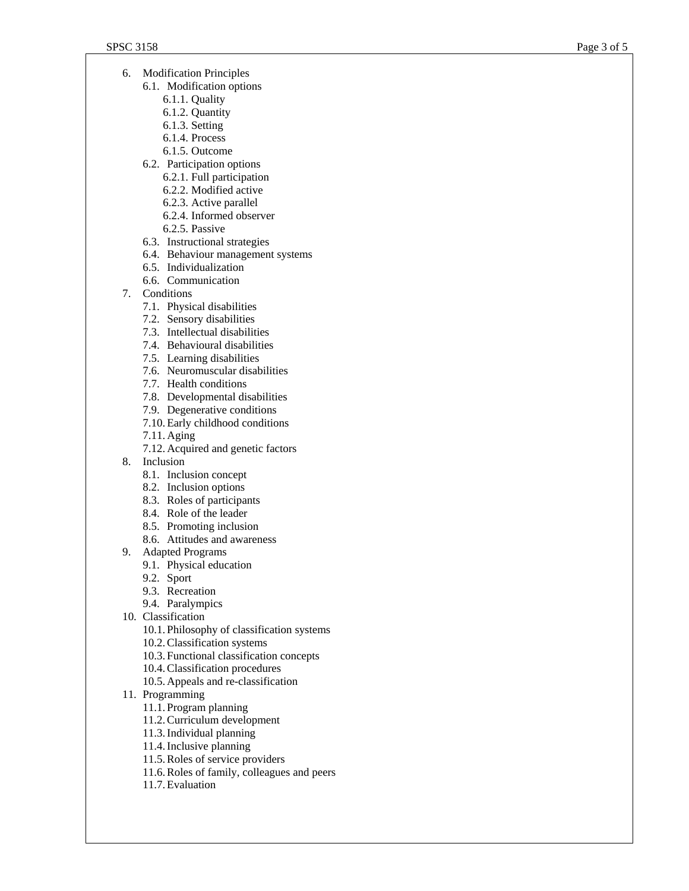- 6. Modification Principles
	- 6.1. Modification options
		- 6.1.1. Quality
		- 6.1.2. Quantity
		- 6.1.3. Setting
		- 6.1.4. Process
		- 6.1.5. Outcome
	- 6.2. Participation options
		- 6.2.1. Full participation
		- 6.2.2. Modified active
		- 6.2.3. Active parallel
		- 6.2.4. Informed observer
		- 6.2.5. Passive
	- 6.3. Instructional strategies
	- 6.4. Behaviour management systems
	- 6.5. Individualization
	- 6.6. Communication
- 7. Conditions
	- 7.1. Physical disabilities
	- 7.2. Sensory disabilities
	- 7.3. Intellectual disabilities
	- 7.4. Behavioural disabilities
	- 7.5. Learning disabilities
	- 7.6. Neuromuscular disabilities
	- 7.7. Health conditions
	- 7.8. Developmental disabilities
	- 7.9. Degenerative conditions
	- 7.10. Early childhood conditions
	- 7.11. Aging
	- 7.12. Acquired and genetic factors
- 8. Inclusion
	- 8.1. Inclusion concept
	- 8.2. Inclusion options
	- 8.3. Roles of participants
	- 8.4. Role of the leader
	- 8.5. Promoting inclusion
	- 8.6. Attitudes and awareness
- 9. Adapted Programs
	- 9.1. Physical education
	- 9.2. Sport
	- 9.3. Recreation
	- 9.4. Paralympics
- 10. Classification
	- 10.1. Philosophy of classification systems
	- 10.2.Classification systems
	- 10.3. Functional classification concepts
	- 10.4.Classification procedures
	- 10.5. Appeals and re-classification
- 11. Programming
	- 11.1. Program planning
	- 11.2.Curriculum development
	- 11.3.Individual planning
	- 11.4.Inclusive planning
	- 11.5.Roles of service providers
	- 11.6.Roles of family, colleagues and peers
	- 11.7. Evaluation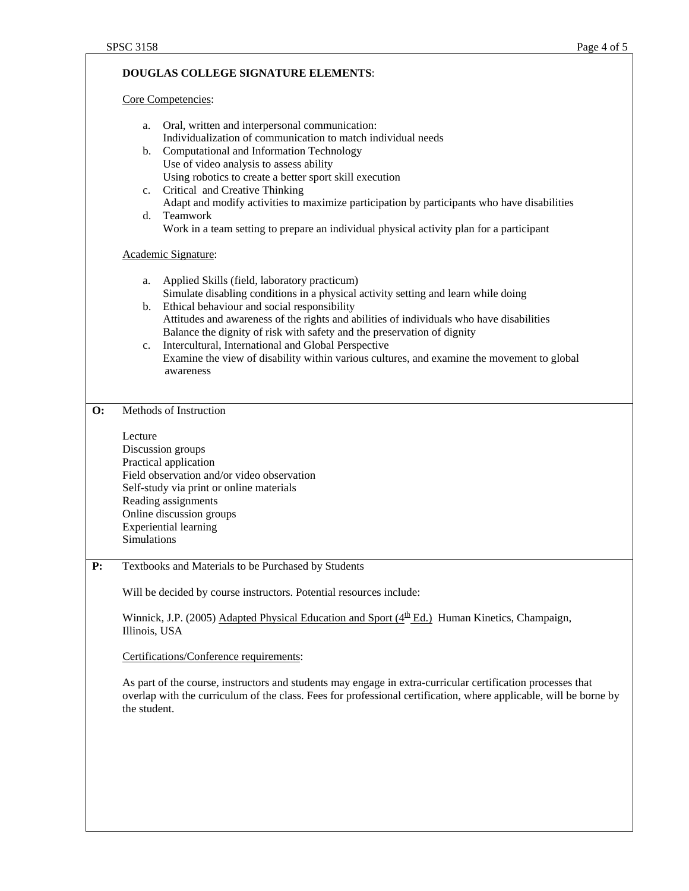## **DOUGLAS COLLEGE SIGNATURE ELEMENTS**:

Core Competencies:

| a.          | Oral, written and interpersonal communication:                                              |
|-------------|---------------------------------------------------------------------------------------------|
|             | Individualization of communication to match individual needs                                |
| b.          | Computational and Information Technology                                                    |
|             | Use of video analysis to assess ability                                                     |
|             | Using robotics to create a better sport skill execution                                     |
| $c_{\cdot}$ | Critical and Creative Thinking                                                              |
|             | Adapt and modify activities to maximize participation by participants who have disabilities |
| d.          | <b>Teamwork</b>                                                                             |
|             | Work in a team setting to prepare an individual physical activity plan for a participant    |
|             |                                                                                             |
|             | Academic Signature:                                                                         |
|             |                                                                                             |

- a. Applied Skills (field, laboratory practicum) Simulate disabling conditions in a physical activity setting and learn while doing b. Ethical behaviour and social responsibility
- Attitudes and awareness of the rights and abilities of individuals who have disabilities Balance the dignity of risk with safety and the preservation of dignity
- c. Intercultural, International and Global Perspective Examine the view of disability within various cultures, and examine the movement to global awareness

## **O:** Methods of Instruction

Lecture Discussion groups Practical application Field observation and/or video observation Self-study via print or online materials Reading assignments Online discussion groups Experiential learning Simulations

**P:** Textbooks and Materials to be Purchased by Students

Will be decided by course instructors. Potential resources include:

Winnick, J.P. (2005) Adapted Physical Education and Sport  $(4<sup>th</sup> Ed.)$  Human Kinetics, Champaign, Illinois, USA

Certifications/Conference requirements:

As part of the course, instructors and students may engage in extra-curricular certification processes that overlap with the curriculum of the class. Fees for professional certification, where applicable, will be borne by the student.